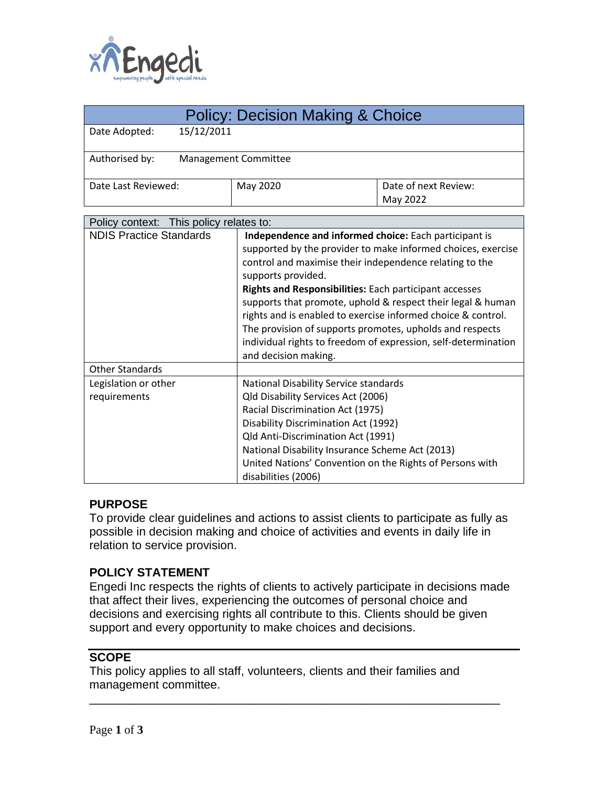

| <b>Policy: Decision Making &amp; Choice</b> |                                                                |                      |
|---------------------------------------------|----------------------------------------------------------------|----------------------|
| 15/12/2011<br>Date Adopted:                 |                                                                |                      |
|                                             |                                                                |                      |
| Authorised by:<br>Management Committee      |                                                                |                      |
|                                             |                                                                |                      |
| Date Last Reviewed:                         | May 2020                                                       | Date of next Review: |
|                                             |                                                                | May 2022             |
| This policy relates to:<br>Policy context:  |                                                                |                      |
| <b>NDIS Practice Standards</b>              | Independence and informed choice: Each participant is          |                      |
|                                             | supported by the provider to make informed choices, exercise   |                      |
|                                             | control and maximise their independence relating to the        |                      |
|                                             | supports provided.                                             |                      |
|                                             | Rights and Responsibilities: Each participant accesses         |                      |
|                                             | supports that promote, uphold & respect their legal & human    |                      |
|                                             | rights and is enabled to exercise informed choice & control.   |                      |
|                                             | The provision of supports promotes, upholds and respects       |                      |
|                                             | individual rights to freedom of expression, self-determination |                      |
|                                             | and decision making.                                           |                      |
| <b>Other Standards</b>                      |                                                                |                      |
| Legislation or other                        | National Disability Service standards                          |                      |
| requirements                                | Qld Disability Services Act (2006)                             |                      |
|                                             | Racial Discrimination Act (1975)                               |                      |
|                                             | <b>Disability Discrimination Act (1992)</b>                    |                      |
|                                             | Qld Anti-Discrimination Act (1991)                             |                      |
|                                             | National Disability Insurance Scheme Act (2013)                |                      |
|                                             | United Nations' Convention on the Rights of Persons with       |                      |
|                                             | disabilities (2006)                                            |                      |

#### **PURPOSE**

To provide clear guidelines and actions to assist clients to participate as fully as possible in decision making and choice of activities and events in daily life in relation to service provision.

#### **POLICY STATEMENT**

Engedi Inc respects the rights of clients to actively participate in decisions made that affect their lives, experiencing the outcomes of personal choice and decisions and exercising rights all contribute to this. Clients should be given support and every opportunity to make choices and decisions.

# **SCOPE**

This policy applies to all staff, volunteers, clients and their families and management committee.

\_\_\_\_\_\_\_\_\_\_\_\_\_\_\_\_\_\_\_\_\_\_\_\_\_\_\_\_\_\_\_\_\_\_\_\_\_\_\_\_\_\_\_\_\_\_\_\_\_\_\_\_\_\_\_\_\_\_\_\_\_\_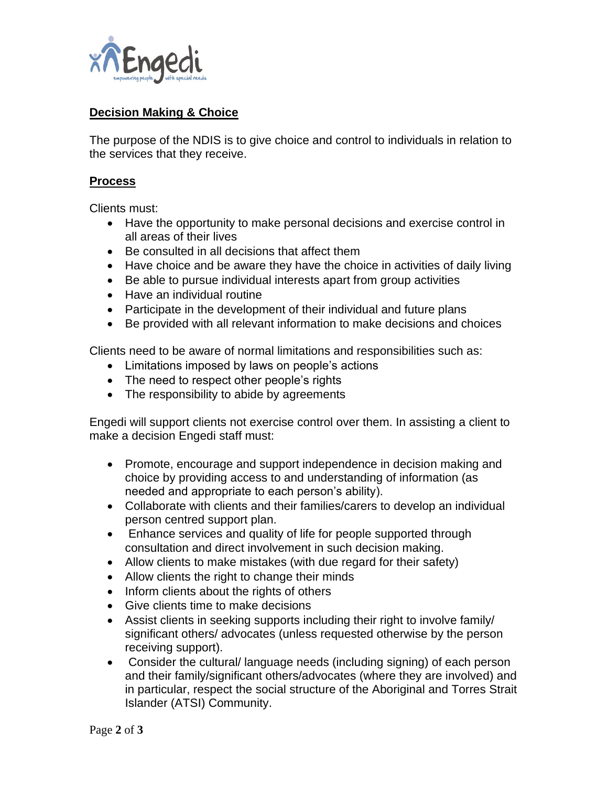

# **Decision Making & Choice**

The purpose of the NDIS is to give choice and control to individuals in relation to the services that they receive.

### **Process**

Clients must:

- Have the opportunity to make personal decisions and exercise control in all areas of their lives
- Be consulted in all decisions that affect them
- Have choice and be aware they have the choice in activities of daily living
- Be able to pursue individual interests apart from group activities
- Have an individual routine
- Participate in the development of their individual and future plans
- Be provided with all relevant information to make decisions and choices

Clients need to be aware of normal limitations and responsibilities such as:

- Limitations imposed by laws on people's actions
- The need to respect other people's rights
- The responsibility to abide by agreements

Engedi will support clients not exercise control over them. In assisting a client to make a decision Engedi staff must:

- Promote, encourage and support independence in decision making and choice by providing access to and understanding of information (as needed and appropriate to each person's ability).
- Collaborate with clients and their families/carers to develop an individual person centred support plan.
- Enhance services and quality of life for people supported through consultation and direct involvement in such decision making.
- Allow clients to make mistakes (with due regard for their safety)
- Allow clients the right to change their minds
- Inform clients about the rights of others
- Give clients time to make decisions
- Assist clients in seeking supports including their right to involve family/ significant others/ advocates (unless requested otherwise by the person receiving support).
- Consider the cultural/ language needs (including signing) of each person and their family/significant others/advocates (where they are involved) and in particular, respect the social structure of the Aboriginal and Torres Strait Islander (ATSI) Community.